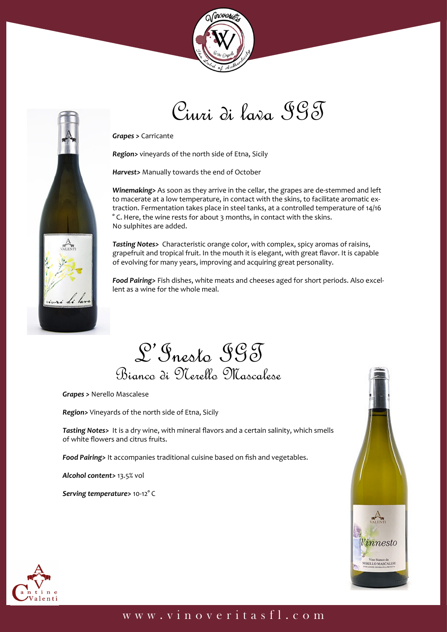



*Grapes >* Carricante

*Region>* vineyards of the north side of Etna, Sicily

*Harvest>* Manually towards the end of October

*Winemaking>* As soon as they arrive in the cellar, the grapes are de-stemmed and left to macerate at a low temperature, in contact with the skins, to facilitate aromatic extraction. Fermentation takes place in steel tanks, at a controlled temperature of 14/16 ° C. Here, the wine rests for about 3 months, in contact with the skins. No sulphites are added.

Ciuri di lava IGT

*Tasting Notes>* Characteristic orange color, with complex, spicy aromas of raisins, grapefruit and tropical fruit. In the mouth it is elegant, with great flavor. It is capable of evolving for many years, improving and acquiring great personality.

*Food Pairing>* Fish dishes, white meats and cheeses aged for short periods. Also excellent as a wine for the whole meal.

L'Inesto IGT Bianco di Nerello Mascalese

*Grapes >* Nerello Mascalese

*Region>* Vineyards of the north side of Etna, Sicily

*Tasting Notes>* It is a dry wine, with mineral flavors and a certain salinity, which smells of white flowers and citrus fruits.

*Food Pairing>* It accompanies traditional cuisine based on fish and vegetables.

*Alcohol content>* 13.5% vol

*Serving temperature>* 10-12° C





## www.vinoveritasfl.com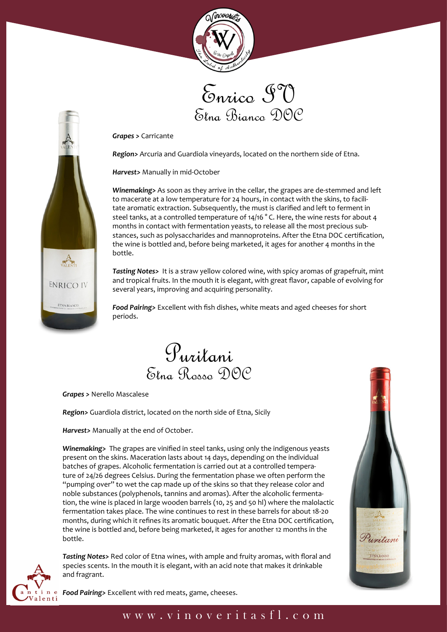





*Grapes >* Carricante

*Region>* Arcuria and Guardiola vineyards, located on the northern side of Etna.

*Harvest>* Manually in mid-October

*Winemaking>* As soon as they arrive in the cellar, the grapes are de-stemmed and left to macerate at a low temperature for 24 hours, in contact with the skins, to facilitate aromatic extraction. Subsequently, the must is clarified and left to ferment in steel tanks, at a controlled temperature of 14/16 ° C. Here, the wine rests for about 4 months in contact with fermentation yeasts, to release all the most precious substances, such as polysaccharides and mannoproteins. After the Etna DOC certification, the wine is bottled and, before being marketed, it ages for another 4 months in the bottle.

*Tasting Notes>* It is a straw yellow colored wine, with spicy aromas of grapefruit, mint and tropical fruits. In the mouth it is elegant, with great flavor, capable of evolving for several years, improving and acquiring personality.

*Food Pairing>* Excellent with fish dishes, white meats and aged cheeses for short periods.



*Grapes >* Nerello Mascalese

*Region>* Guardiola district, located on the north side of Etna, Sicily

*Harvest>* Manually at the end of October.

*Winemaking>* The grapes are vinified in steel tanks, using only the indigenous yeasts present on the skins. Maceration lasts about 14 days, depending on the individual batches of grapes. Alcoholic fermentation is carried out at a controlled temperature of 24/26 degrees Celsius. During the fermentation phase we often perform the "pumping over" to wet the cap made up of the skins so that they release color and noble substances (polyphenols, tannins and aromas). After the alcoholic fermentation, the wine is placed in large wooden barrels (10, 25 and 50 hl) where the malolactic fermentation takes place. The wine continues to rest in these barrels for about 18-20 months, during which it refines its aromatic bouquet. After the Etna DOC certification, the wine is bottled and, before being marketed, it ages for another 12 months in the bottle.



*Tasting Notes>* Red color of Etna wines, with ample and fruity aromas, with floral and species scents. In the mouth it is elegant, with an acid note that makes it drinkable and fragrant.



*Food Pairing>* Excellent with red meats, game, cheeses.

## www.vinoveritasfl.com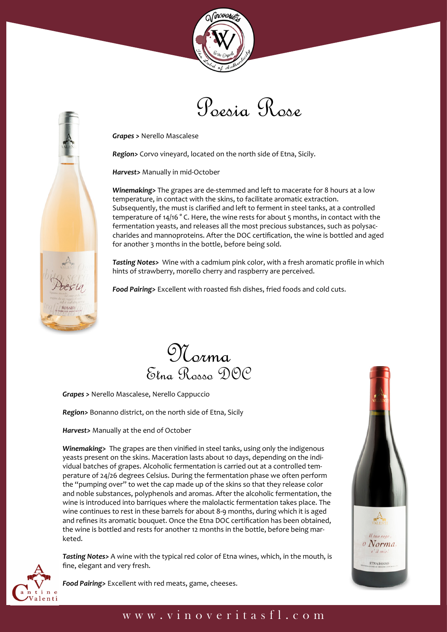





*Grapes >* Nerello Mascalese

*Region>* Corvo vineyard, located on the north side of Etna, Sicily.

*Harvest>* Manually in mid-October

*Winemaking>* The grapes are de-stemmed and left to macerate for 8 hours at a low temperature, in contact with the skins, to facilitate aromatic extraction. Subsequently, the must is clarified and left to ferment in steel tanks, at a controlled temperature of 14/16 °C. Here, the wine rests for about 5 months, in contact with the fermentation yeasts, and releases all the most precious substances, such as polysaccharides and mannoproteins. After the DOC certification, the wine is bottled and aged for another 3 months in the bottle, before being sold.

*Tasting Notes>* Wine with a cadmium pink color, with a fresh aromatic profile in which hints of strawberry, morello cherry and raspberry are perceived.

*Food Pairing>* Excellent with roasted fish dishes, fried foods and cold cuts.



*Grapes >* Nerello Mascalese, Nerello Cappuccio

*Region>* Bonanno district, on the north side of Etna, Sicily

*Harvest>* Manually at the end of October

*Winemaking>* The grapes are then vinified in steel tanks, using only the indigenous yeasts present on the skins. Maceration lasts about 10 days, depending on the individual batches of grapes. Alcoholic fermentation is carried out at a controlled temperature of 24/26 degrees Celsius. During the fermentation phase we often perform the "pumping over" to wet the cap made up of the skins so that they release color and noble substances, polyphenols and aromas. After the alcoholic fermentation, the wine is introduced into barriques where the malolactic fermentation takes place. The wine continues to rest in these barrels for about 8-9 months, during which it is aged and refines its aromatic bouquet. Once the Etna DOC certification has been obtained, the wine is bottled and rests for another 12 months in the bottle, before being marketed.



*Tasting Notes>* A wine with the typical red color of Etna wines, which, in the mouth, is fine, elegant and very fresh.



*Food Pairing>* Excellent with red meats, game, cheeses.

## www.vinoveritasfl.com